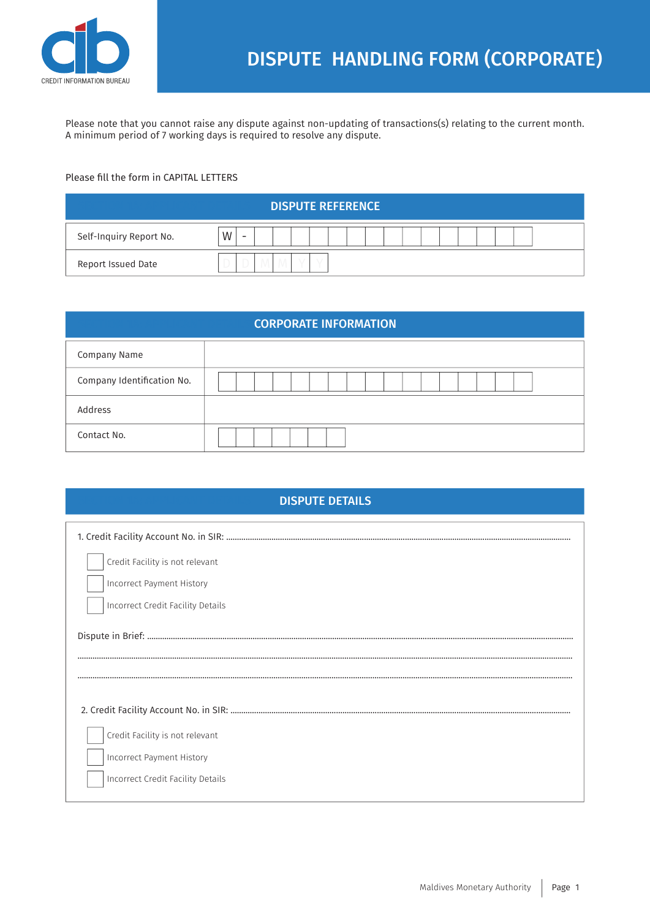

Please note that you cannot raise any dispute against non-updating of transactions(s) relating to the current month. A minimum period of 7 working days is required to resolve any dispute.

## Please fill the form in CAPITAL LETTERS

| <b>DISPUTE REFERENCE</b> |                               |  |  |  |
|--------------------------|-------------------------------|--|--|--|
| Self-Inquiry Report No.  | W<br>$\overline{\phantom{0}}$ |  |  |  |
| Report Issued Date       | $\sim$                        |  |  |  |

| <b>CORPORATE INFORMATION</b> |  |  |  |
|------------------------------|--|--|--|
| Company Name                 |  |  |  |
| Company Identification No.   |  |  |  |
| Address                      |  |  |  |
| Contact No.                  |  |  |  |

| <b>DISPUTE DETAILS</b>            |  |  |  |
|-----------------------------------|--|--|--|
|                                   |  |  |  |
| Credit Facility is not relevant   |  |  |  |
| <b>Incorrect Payment History</b>  |  |  |  |
| Incorrect Credit Facility Details |  |  |  |
|                                   |  |  |  |
|                                   |  |  |  |
| Credit Facility is not relevant   |  |  |  |
| Incorrect Payment History         |  |  |  |
| Incorrect Credit Facility Details |  |  |  |